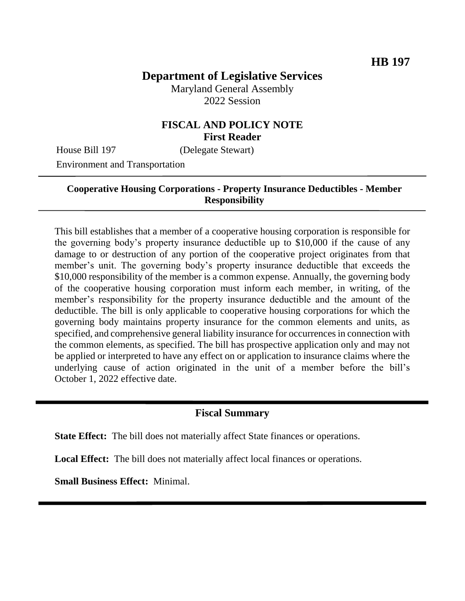# **Department of Legislative Services**

Maryland General Assembly 2022 Session

# **FISCAL AND POLICY NOTE First Reader**

House Bill 197 (Delegate Stewart)

Environment and Transportation

#### **Cooperative Housing Corporations - Property Insurance Deductibles - Member Responsibility**

This bill establishes that a member of a cooperative housing corporation is responsible for the governing body's property insurance deductible up to \$10,000 if the cause of any damage to or destruction of any portion of the cooperative project originates from that member's unit. The governing body's property insurance deductible that exceeds the \$10,000 responsibility of the member is a common expense. Annually, the governing body of the cooperative housing corporation must inform each member, in writing, of the member's responsibility for the property insurance deductible and the amount of the deductible. The bill is only applicable to cooperative housing corporations for which the governing body maintains property insurance for the common elements and units, as specified, and comprehensive general liability insurance for occurrences in connection with the common elements, as specified. The bill has prospective application only and may not be applied or interpreted to have any effect on or application to insurance claims where the underlying cause of action originated in the unit of a member before the bill's October 1, 2022 effective date.

#### **Fiscal Summary**

**State Effect:** The bill does not materially affect State finances or operations.

**Local Effect:** The bill does not materially affect local finances or operations.

**Small Business Effect:** Minimal.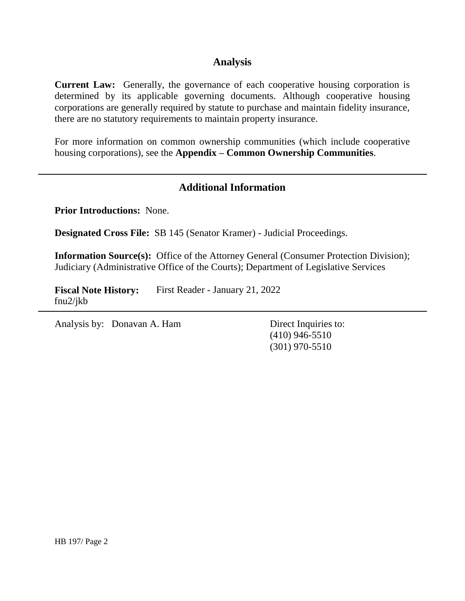#### **Analysis**

**Current Law:** Generally, the governance of each cooperative housing corporation is determined by its applicable governing documents. Although cooperative housing corporations are generally required by statute to purchase and maintain fidelity insurance, there are no statutory requirements to maintain property insurance.

For more information on common ownership communities (which include cooperative housing corporations), see the **Appendix – Common Ownership Communities**.

# **Additional Information**

**Prior Introductions:** None.

**Designated Cross File:** SB 145 (Senator Kramer) - Judicial Proceedings.

**Information Source(s):** Office of the Attorney General (Consumer Protection Division); Judiciary (Administrative Office of the Courts); Department of Legislative Services

**Fiscal Note History:** First Reader - January 21, 2022 fnu2/jkb

Analysis by: Donavan A. Ham Direct Inquiries to:

(410) 946-5510 (301) 970-5510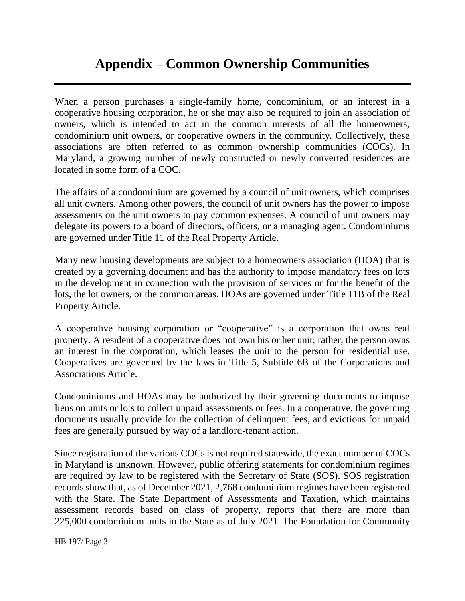# **Appendix – Common Ownership Communities**

When a person purchases a single-family home, condominium, or an interest in a cooperative housing corporation, he or she may also be required to join an association of owners, which is intended to act in the common interests of all the homeowners, condominium unit owners, or cooperative owners in the community. Collectively, these associations are often referred to as common ownership communities (COCs). In Maryland, a growing number of newly constructed or newly converted residences are located in some form of a COC.

The affairs of a condominium are governed by a council of unit owners, which comprises all unit owners. Among other powers, the council of unit owners has the power to impose assessments on the unit owners to pay common expenses. A council of unit owners may delegate its powers to a board of directors, officers, or a managing agent. Condominiums are governed under Title 11 of the Real Property Article.

Many new housing developments are subject to a homeowners association (HOA) that is created by a governing document and has the authority to impose mandatory fees on lots in the development in connection with the provision of services or for the benefit of the lots, the lot owners, or the common areas. HOAs are governed under Title 11B of the Real Property Article.

A cooperative housing corporation or "cooperative" is a corporation that owns real property. A resident of a cooperative does not own his or her unit; rather, the person owns an interest in the corporation, which leases the unit to the person for residential use. Cooperatives are governed by the laws in Title 5, Subtitle 6B of the Corporations and Associations Article.

Condominiums and HOAs may be authorized by their governing documents to impose liens on units or lots to collect unpaid assessments or fees. In a cooperative, the governing documents usually provide for the collection of delinquent fees, and evictions for unpaid fees are generally pursued by way of a landlord-tenant action.

Since registration of the various COCs is not required statewide, the exact number of COCs in Maryland is unknown. However, public offering statements for condominium regimes are required by law to be registered with the Secretary of State (SOS). SOS registration records show that, as of December 2021, 2,768 condominium regimes have been registered with the State. The State Department of Assessments and Taxation, which maintains assessment records based on class of property, reports that there are more than 225,000 condominium units in the State as of July 2021. The Foundation for Community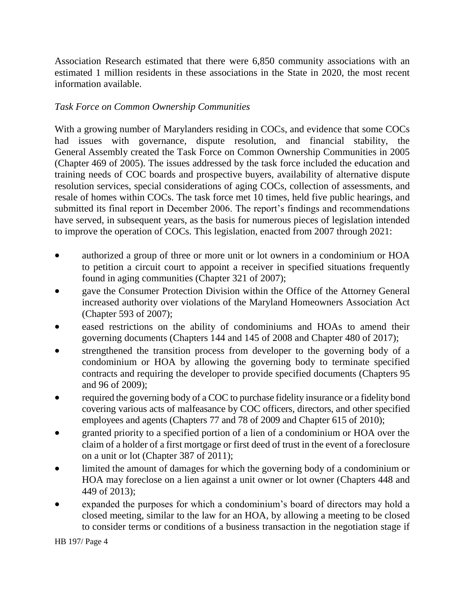Association Research estimated that there were 6,850 community associations with an estimated 1 million residents in these associations in the State in 2020, the most recent information available.

# *Task Force on Common Ownership Communities*

With a growing number of Marylanders residing in COCs, and evidence that some COCs had issues with governance, dispute resolution, and financial stability, the General Assembly created the Task Force on Common Ownership Communities in 2005 (Chapter 469 of 2005). The issues addressed by the task force included the education and training needs of COC boards and prospective buyers, availability of alternative dispute resolution services, special considerations of aging COCs, collection of assessments, and resale of homes within COCs. The task force met 10 times, held five public hearings, and submitted its final report in December 2006. The report's findings and recommendations have served, in subsequent years, as the basis for numerous pieces of legislation intended to improve the operation of COCs. This legislation, enacted from 2007 through 2021:

- authorized a group of three or more unit or lot owners in a condominium or HOA to petition a circuit court to appoint a receiver in specified situations frequently found in aging communities (Chapter 321 of 2007);
- gave the Consumer Protection Division within the Office of the Attorney General increased authority over violations of the Maryland Homeowners Association Act (Chapter 593 of 2007);
- eased restrictions on the ability of condominiums and HOAs to amend their governing documents (Chapters 144 and 145 of 2008 and Chapter 480 of 2017);
- strengthened the transition process from developer to the governing body of a condominium or HOA by allowing the governing body to terminate specified contracts and requiring the developer to provide specified documents (Chapters 95 and 96 of 2009);
- required the governing body of a COC to purchase fidelity insurance or a fidelity bond covering various acts of malfeasance by COC officers, directors, and other specified employees and agents (Chapters 77 and 78 of 2009 and Chapter 615 of 2010);
- granted priority to a specified portion of a lien of a condominium or HOA over the claim of a holder of a first mortgage or first deed of trust in the event of a foreclosure on a unit or lot (Chapter 387 of 2011);
- limited the amount of damages for which the governing body of a condominium or HOA may foreclose on a lien against a unit owner or lot owner (Chapters 448 and 449 of 2013);
- expanded the purposes for which a condominium's board of directors may hold a closed meeting, similar to the law for an HOA, by allowing a meeting to be closed to consider terms or conditions of a business transaction in the negotiation stage if